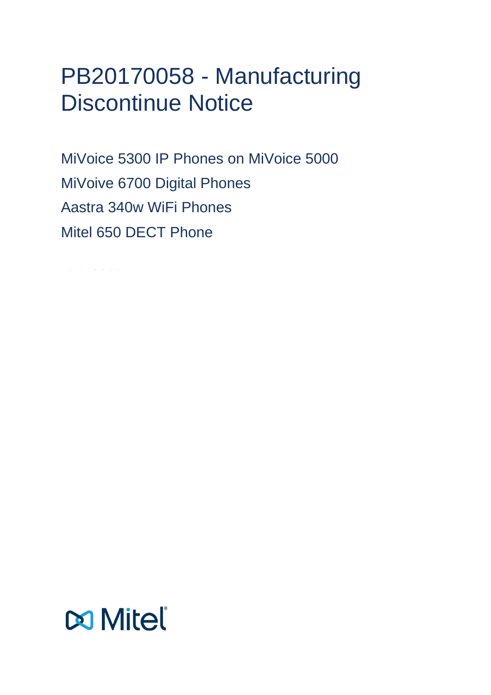# PB20170058 - Manufacturing Discontinue Notice

MiVoice 5300 IP Phones on MiVoice 5000 MiVoive 6700 Digital Phones Aastra 340w WiFi Phones Mitel 650 DECT Phone

 $\mathcal{A}_1$  ,  $\mathcal{A}_2$  ,  $\mathcal{A}_3$ 

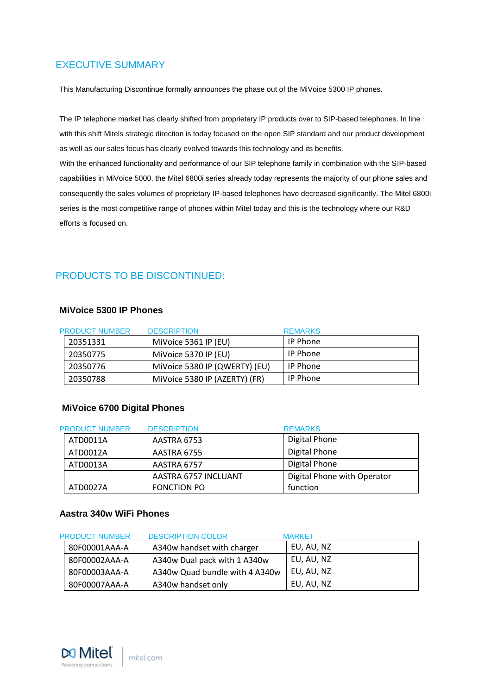# <span id="page-2-0"></span>EXECUTIVE SUMMARY

This Manufacturing Discontinue formally announces the phase out of the MiVoice 5300 IP phones.

The IP telephone market has clearly shifted from proprietary IP products over to SIP-based telephones. In line with this shift Mitels strategic direction is today focused on the open SIP standard and our product development as well as our sales focus has clearly evolved towards this technology and its benefits.

With the enhanced functionality and performance of our SIP telephone family in combination with the SIP-based capabilities in MiVoice 5000, the Mitel 6800i series already today represents the majority of our phone sales and consequently the sales volumes of proprietary IP-based telephones have decreased significantly. The Mitel 6800i series is the most competitive range of phones within Mitel today and this is the technology where our R&D efforts is focused on.

# <span id="page-2-1"></span>PRODUCTS TO BE DISCONTINUED:

# **MiVoice 5300 IP Phones**

| <b>PRODUCT NUMBER</b> | <b>DESCRIPTION</b>            | <b>REMARKS</b>  |
|-----------------------|-------------------------------|-----------------|
| 20351331              | MiVoice 5361 IP (EU)          | <b>IP Phone</b> |
| 20350775              | MiVoice 5370 IP (EU)          | <b>IP Phone</b> |
| 20350776              | MiVoice 5380 IP (QWERTY) (EU) | <b>IP Phone</b> |
| 20350788              | MiVoice 5380 IP (AZERTY) (FR) | <b>IP Phone</b> |

# **MiVoice 6700 Digital Phones**

| <b>PRODUCT NUMBER</b> | <b>DESCRIPTION</b>   | <b>REMARKS</b>              |
|-----------------------|----------------------|-----------------------------|
| ATD0011A              | AASTRA 6753          | Digital Phone               |
| ATD0012A              | AASTRA 6755          | Digital Phone               |
| ATD0013A              | AASTRA 6757          | Digital Phone               |
|                       | AASTRA 6757 INCLUANT | Digital Phone with Operator |
| ATD0027A              | <b>FONCTION PO</b>   | function                    |

#### **Aastra 340w WiFi Phones**

| <b>PRODUCT NUMBER</b> | <b>DESCRIPTION COLOR</b>       | <b>MARKET</b> |
|-----------------------|--------------------------------|---------------|
| 80F00001AAA-A         | A340w handset with charger     | EU, AU, NZ    |
| 80F00002AAA-A         | A340w Dual pack with 1 A340w   | EU, AU, NZ    |
| 80F00003AAA-A         | A340w Quad bundle with 4 A340w | EU, AU, NZ    |
| 80F00007AAA-A         | A340w handset only             | EU, AU, NZ    |

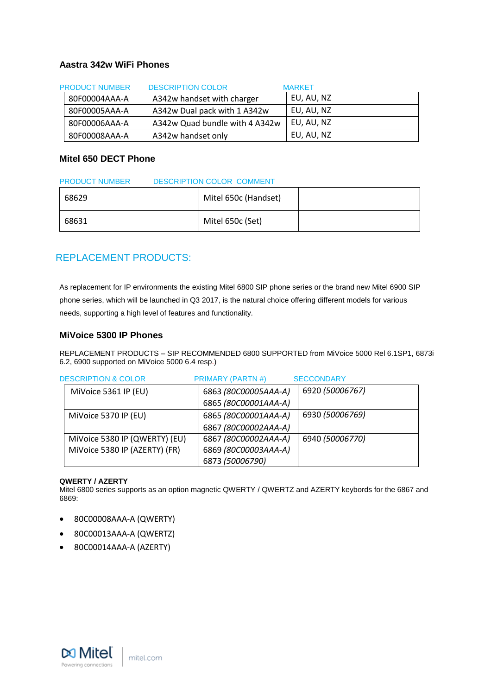#### **Aastra 342w WiFi Phones**

| <b>PRODUCT NUMBER</b> | <b>DESCRIPTION COLOR</b>       | <b>MARKET</b> |
|-----------------------|--------------------------------|---------------|
| 80F00004AAA-A         | A342w handset with charger     | EU, AU, NZ    |
| 80F00005AAA-A         | A342w Dual pack with 1 A342w   | EU, AU, NZ    |
| 80F00006AAA-A         | A342w Quad bundle with 4 A342w | EU, AU, NZ    |
| 80F00008AAA-A         | A342w handset only             | EU, AU, NZ    |

#### **Mitel 650 DECT Phone**

| <b>DESCRIPTION COLOR COMMENT</b><br><b>PRODUCT NUMBER</b> |                      |  |
|-----------------------------------------------------------|----------------------|--|
| 68629                                                     | Mitel 650c (Handset) |  |
| 68631                                                     | Mitel 650c (Set)     |  |

# <span id="page-3-0"></span>REPLACEMENT PRODUCTS:

As replacement for IP environments the existing Mitel 6800 SIP phone series or the brand new Mitel 6900 SIP phone series, which will be launched in Q3 2017, is the natural choice offering different models for various needs, supporting a high level of features and functionality.

#### **MiVoice 5300 IP Phones**

REPLACEMENT PRODUCTS – SIP RECOMMENDED 6800 SUPPORTED from MiVoice 5000 Rel 6.1SP1, 6873i 6.2, 6900 supported on MiVoice 5000 6.4 resp.)

| <b>DESCRIPTION &amp; COLOR</b> | <b>PRIMARY (PARTN#)</b> | <b>SECCONDARY</b> |
|--------------------------------|-------------------------|-------------------|
| MiVoice 5361 IP (EU)           | 6863 (80C00005AAA-A)    | 6920 (50006767)   |
|                                | 6865 (80C00001AAA-A)    |                   |
| MiVoice 5370 IP (EU)           | 6865 (80C00001AAA-A)    | 6930 (50006769)   |
|                                | 6867 (80C00002AAA-A)    |                   |
| MiVoice 5380 IP (QWERTY) (EU)  | 6867 (80C00002AAA-A)    | 6940 (50006770)   |
| MiVoice 5380 IP (AZERTY) (FR)  | 6869 (80C00003AAA-A)    |                   |
|                                | 6873 (50006790)         |                   |

#### **QWERTY / AZERTY**

Mitel 6800 series supports as an option magnetic QWERTY / QWERTZ and AZERTY keybords for the 6867 and 6869:

- 80C00008AAA-A (QWERTY)
- 80C00013AAA-A (QWERTZ)
- 80C00014AAA-A (AZERTY)

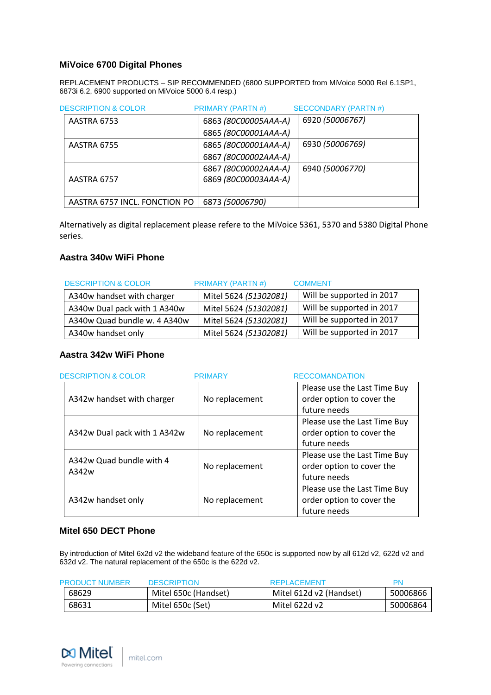# **MiVoice 6700 Digital Phones**

REPLACEMENT PRODUCTS – SIP RECOMMENDED (6800 SUPPORTED from MiVoice 5000 Rel 6.1SP1, 6873i 6.2, 6900 supported on MiVoice 5000 6.4 resp.)

| <b>DESCRIPTION &amp; COLOR</b> | <b>PRIMARY (PARTN#)</b> | <b>SECCONDARY (PARTN#)</b> |
|--------------------------------|-------------------------|----------------------------|
| AASTRA 6753                    | 6863 (80C00005AAA-A)    | 6920 (50006767)            |
|                                | 6865 (80C00001AAA-A)    |                            |
| AASTRA 6755                    | 6865 (80C00001AAA-A)    | 6930 (50006769)            |
|                                | 6867 (80C00002AAA-A)    |                            |
|                                | 6867 (80C00002AAA-A)    | 6940 (50006770)            |
| AASTRA 6757                    | 6869 (80C00003AAA-A)    |                            |
|                                |                         |                            |
| AASTRA 6757 INCL. FONCTION PO  | 6873 (50006790)         |                            |

Alternatively as digital replacement please refere to the MiVoice 5361, 5370 and 5380 Digital Phone series.

# **Aastra 340w WiFi Phone**

| <b>DESCRIPTION &amp; COLOR</b> | <b>PRIMARY (PARTN#)</b> | <b>COMMENT</b>            |
|--------------------------------|-------------------------|---------------------------|
| A340w handset with charger     | Mitel 5624 (51302081)   | Will be supported in 2017 |
| A340w Dual pack with 1 A340w   | Mitel 5624 (51302081)   | Will be supported in 2017 |
| A340w Quad bundle w. 4 A340w   | Mitel 5624 (51302081)   | Will be supported in 2017 |
| A340w handset only             | Mitel 5624 (51302081)   | Will be supported in 2017 |

#### **Aastra 342w WiFi Phone**

| <b>DESCRIPTION &amp; COLOR</b>    | <b>PRIMARY</b> | <b>RECCOMANDATION</b>                                                     |
|-----------------------------------|----------------|---------------------------------------------------------------------------|
| A342w handset with charger        | No replacement | Please use the Last Time Buy<br>order option to cover the<br>future needs |
| A342w Dual pack with 1 A342w      | No replacement | Please use the Last Time Buy<br>order option to cover the<br>future needs |
| A342w Quad bundle with 4<br>A342w | No replacement | Please use the Last Time Buy<br>order option to cover the<br>future needs |
| A342w handset only                | No replacement | Please use the Last Time Buy<br>order option to cover the<br>future needs |

# **Mitel 650 DECT Phone**

By introduction of Mitel 6x2d v2 the wideband feature of the 650c is supported now by all 612d v2, 622d v2 and 632d v2. The natural replacement of the 650c is the 622d v2.

| <b>PRODUCT NUMBER</b> | <b>DESCRIPTION</b>   | <b>REPLACEMENT</b>      | PN       |
|-----------------------|----------------------|-------------------------|----------|
| 68629                 | Mitel 650c (Handset) | Mitel 612d v2 (Handset) | 50006866 |
| 68631                 | Mitel 650c (Set)     | Mitel 622d v2           | 50006864 |

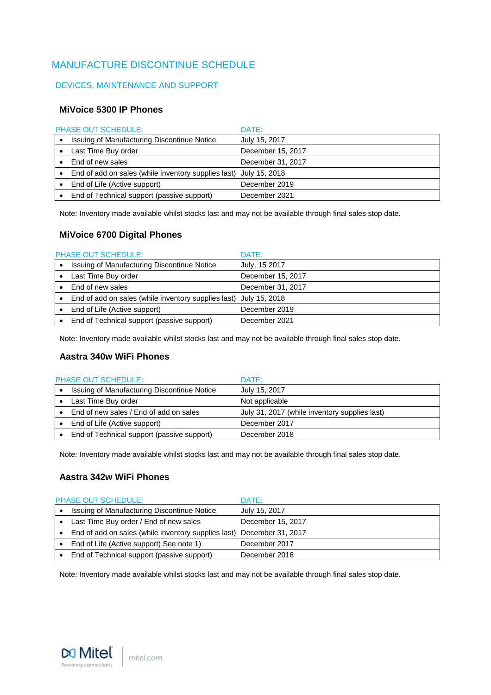# <span id="page-5-0"></span>MANUFACTURE DISCONTINUE SCHEDULE

# <span id="page-5-1"></span>DEVICES, MAINTENANCE AND SUPPORT

#### **MiVoice 5300 IP Phones**

| PHASE OUT SCHEDULE:                                               | DATE:             |
|-------------------------------------------------------------------|-------------------|
| Issuing of Manufacturing Discontinue Notice                       | July 15, 2017     |
| Last Time Buy order                                               | December 15, 2017 |
| End of new sales                                                  | December 31, 2017 |
| End of add on sales (while inventory supplies last) July 15, 2018 |                   |
| End of Life (Active support)                                      | December 2019     |
| End of Technical support (passive support)                        | December 2021     |

Note: Inventory made available whilst stocks last and may not be available through final sales stop date.

# **MiVoice 6700 Digital Phones**

| <b>PHASE OUT SCHEDULE:</b>                                        | DATE:             |
|-------------------------------------------------------------------|-------------------|
| Issuing of Manufacturing Discontinue Notice                       | July, 15 2017     |
| Last Time Buy order                                               | December 15, 2017 |
| End of new sales                                                  | December 31, 2017 |
| End of add on sales (while inventory supplies last) July 15, 2018 |                   |
| End of Life (Active support)                                      | December 2019     |
| End of Technical support (passive support)                        | December 2021     |

Note: Inventory made available whilst stocks last and may not be available through final sales stop date.

#### **Aastra 340w WiFi Phones**

| <b>PHASE OUT SCHEDULE:</b> |                                             | DATE:                                         |
|----------------------------|---------------------------------------------|-----------------------------------------------|
|                            | Issuing of Manufacturing Discontinue Notice | July 15, 2017                                 |
|                            | Last Time Buy order                         | Not applicable                                |
|                            | End of new sales / End of add on sales      | July 31, 2017 (while inventory supplies last) |
|                            | End of Life (Active support)                | December 2017                                 |
|                            | End of Technical support (passive support)  | December 2018                                 |

Note: Inventory made available whilst stocks last and may not be available through final sales stop date.

# **Aastra 342w WiFi Phones**

| <b>PHASE OUT SCHEDULE:</b>                                            | DATE:             |
|-----------------------------------------------------------------------|-------------------|
| Issuing of Manufacturing Discontinue Notice                           | July 15, 2017     |
| Last Time Buy order / End of new sales                                | December 15, 2017 |
| End of add on sales (while inventory supplies last) December 31, 2017 |                   |
| End of Life (Active support) See note 1)                              | December 2017     |
| End of Technical support (passive support)                            | December 2018     |

Note: Inventory made available whilst stocks last and may not be available through final sales stop date.

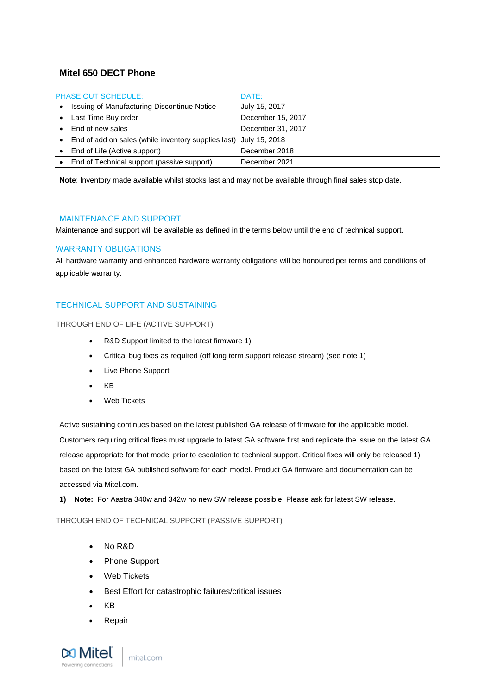#### **Mitel 650 DECT Phone**

| <b>PHASE OUT SCHEDULE:</b> |                                                                   | DATE:             |
|----------------------------|-------------------------------------------------------------------|-------------------|
|                            | Issuing of Manufacturing Discontinue Notice                       | July 15, 2017     |
|                            | Last Time Buy order                                               | December 15, 2017 |
|                            | End of new sales                                                  | December 31, 2017 |
|                            | End of add on sales (while inventory supplies last) July 15, 2018 |                   |
|                            | End of Life (Active support)                                      | December 2018     |
|                            | End of Technical support (passive support)                        | December 2021     |

<span id="page-6-0"></span>**Note**: Inventory made available whilst stocks last and may not be available through final sales stop date.

#### MAINTENANCE AND SUPPORT

Maintenance and support will be available as defined in the terms below until the end of technical support.

#### <span id="page-6-1"></span>WARRANTY OBLIGATIONS

All hardware warranty and enhanced hardware warranty obligations will be honoured per terms and conditions of applicable warranty.

#### <span id="page-6-2"></span>TECHNICAL SUPPORT AND SUSTAINING

#### <span id="page-6-3"></span>THROUGH END OF LIFE (ACTIVE SUPPORT)

- R&D Support limited to the latest firmware 1)
- Critical bug fixes as required (off long term support release stream) (see note 1)
- Live Phone Support
- KB
- Web Tickets

Active sustaining continues based on the latest published GA release of firmware for the applicable model. Customers requiring critical fixes must upgrade to latest GA software first and replicate the issue on the latest GA release appropriate for that model prior to escalation to technical support. Critical fixes will only be released 1) based on the latest GA published software for each model. Product GA firmware and documentation can be accessed via Mitel.com.

**1) Note:** For Aastra 340w and 342w no new SW release possible. Please ask for latest SW release.

#### <span id="page-6-4"></span>THROUGH END OF TECHNICAL SUPPORT (PASSIVE SUPPORT)

- No R&D
- Phone Support
- Web Tickets
- Best Effort for catastrophic failures/critical issues
- KB
- **Repair**